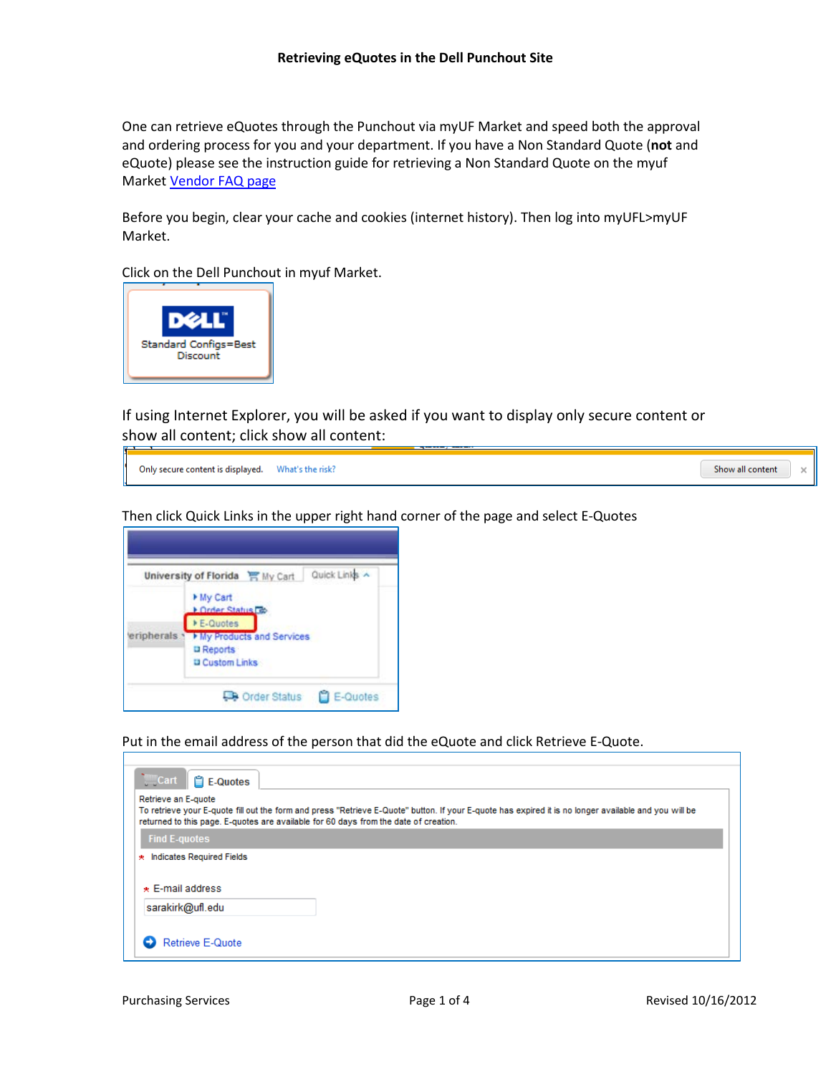One can retrieve eQuotes through the Punchout via myUF Market and speed both the approval and ordering process for you and your department. If you have a Non Standard Quote (**not** and eQuote) please see the instruction guide for retrieving a Non Standard Quote on the myuf Market [Vendor FAQ page](http://www.purchasing.ufl.edu/departments/myufmarket/vendors.asp#Dell)

Before you begin, clear your cache and cookies (internet history). Then log into myUFL>myUF Market.

Click on the Dell Punchout in myuf Market.



If using Internet Explorer, you will be asked if you want to display only secure content or show all content; click show all content:



Then click Quick Links in the upper right hand corner of the page and select E-Quotes



Put in the email address of the person that did the eQuote and click Retrieve E-Quote.

| <b>Cart</b><br><b>Le-Quotes</b>                                                                             |                                                                                                                                                       |
|-------------------------------------------------------------------------------------------------------------|-------------------------------------------------------------------------------------------------------------------------------------------------------|
| Retrieve an E-quote<br>returned to this page. E-quotes are available for 60 days from the date of creation. | To retrieve your E-quote fill out the form and press "Retrieve E-Quote" button. If your E-quote has expired it is no longer available and you will be |
| <b>Find E-quotes</b>                                                                                        |                                                                                                                                                       |
| * Indicates Required Fields                                                                                 |                                                                                                                                                       |
| $\star$ E-mail address                                                                                      |                                                                                                                                                       |
| sarakirk@ufl.edu                                                                                            |                                                                                                                                                       |
| Retrieve E-Quote                                                                                            |                                                                                                                                                       |

Show all content

 $\times$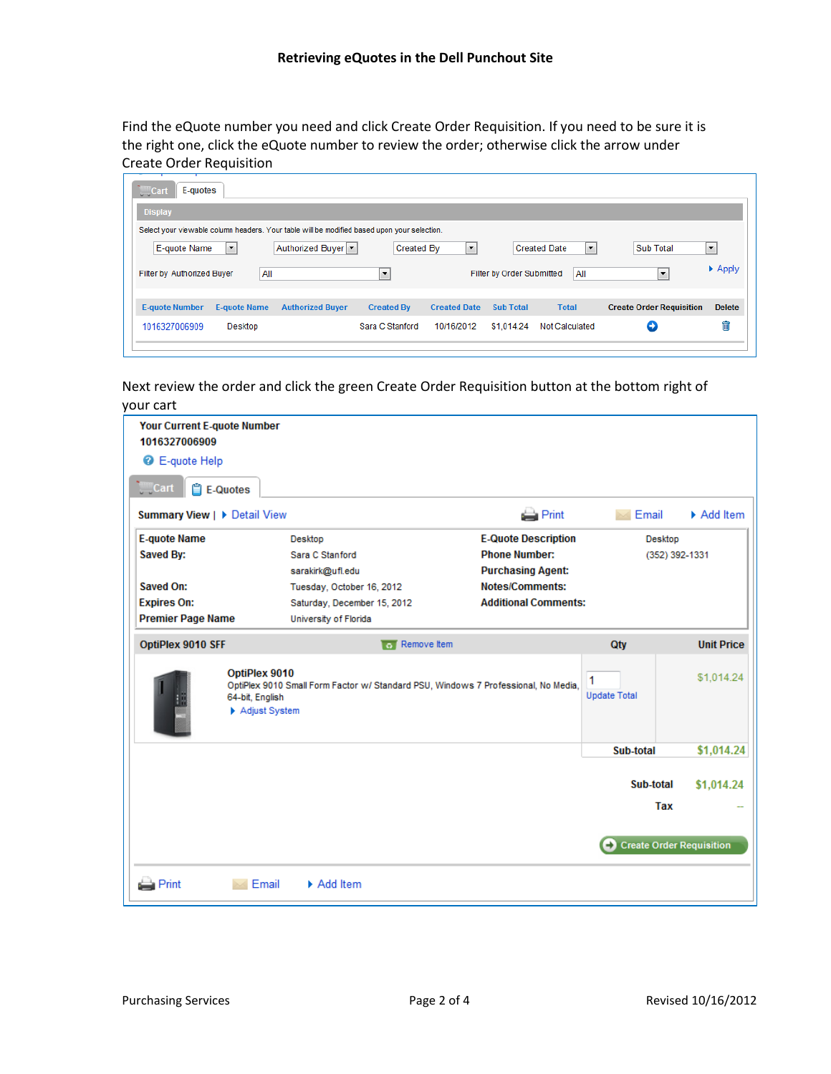Find the eQuote number you need and click Create Order Requisition. If you need to be sure it is the right one, click the eQuote number to review the order; otherwise click the arrow under Create Order Requisition

| E-quotes<br><b>Cart</b>                                                                     |                         |                   |                     |                           |                          |                                 |                             |
|---------------------------------------------------------------------------------------------|-------------------------|-------------------|---------------------|---------------------------|--------------------------|---------------------------------|-----------------------------|
| <b>Display</b>                                                                              |                         |                   |                     |                           |                          |                                 |                             |
| Select your viewable column headers. Your table will be modified based upon your selection. |                         |                   |                     |                           |                          |                                 |                             |
| E-quote Name<br>$\blacktriangledown$                                                        | Authorized Buyer  v     | Created By        | ۰                   |                           | ×<br><b>Created Date</b> | <b>Sub Total</b>                | $\overline{\phantom{a}}$    |
| All<br>Filter by Authorized Buyer                                                           |                         | ×                 |                     | Filter by Order Submitted | All                      | $\overline{\phantom{a}}$        | $\blacktriangleright$ Apply |
| <b>E-quote Number</b><br><b>E-quote Name</b>                                                | <b>Authorized Buyer</b> | <b>Created By</b> | <b>Created Date</b> | <b>Sub Total</b>          | <b>Total</b>             | <b>Create Order Requisition</b> | <b>Delete</b>               |
| 1016327006909<br>Desktop                                                                    |                         | Sara C Stanford   | 10/16/2012          | \$1,014.24                | <b>Not Calculated</b>    | Θ                               | 侖                           |
|                                                                                             |                         |                   |                     |                           |                          |                                 |                             |

Next review the order and click the green Create Order Requisition button at the bottom right of your cart

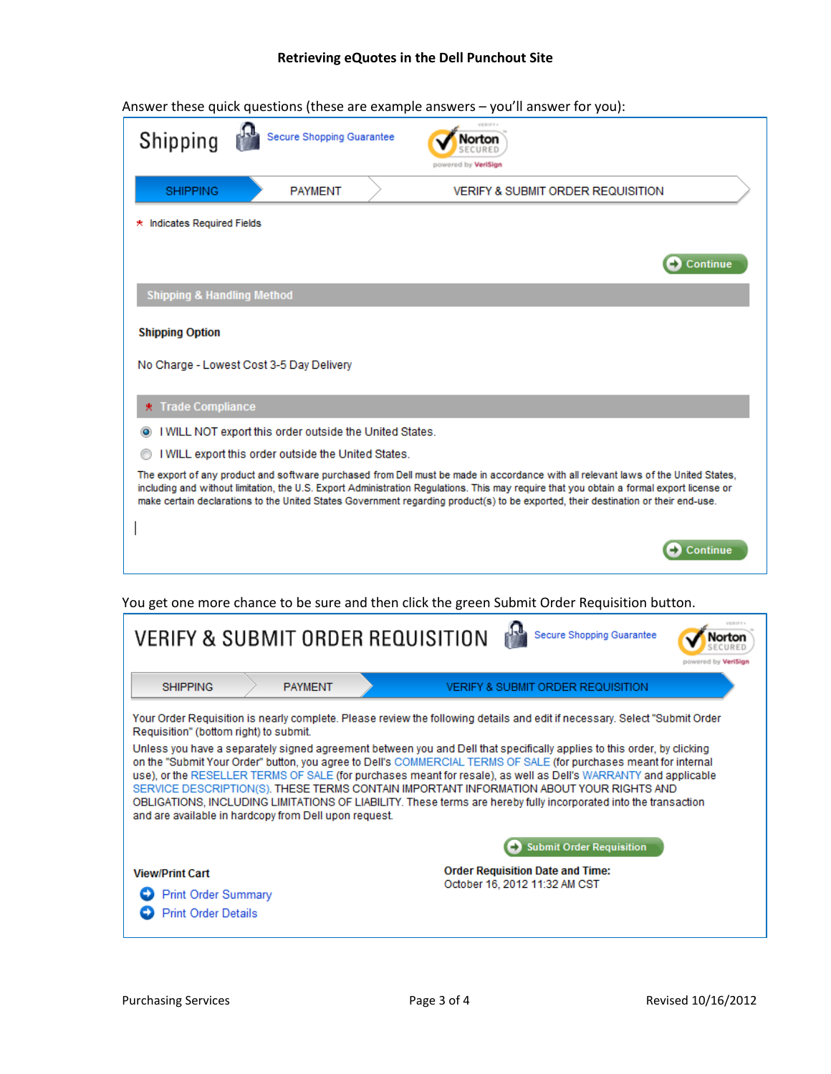## **Retrieving eQuotes in the Dell Punchout Site**

| Shipping                              | Secure Shopping Guarantee                               | lortor                                                                                                                                                                                                                                                                                                                                                                                                                |
|---------------------------------------|---------------------------------------------------------|-----------------------------------------------------------------------------------------------------------------------------------------------------------------------------------------------------------------------------------------------------------------------------------------------------------------------------------------------------------------------------------------------------------------------|
| <b>SHIPPING</b>                       | <b>PAYMENT</b>                                          | <b>VERIFY &amp; SUBMIT ORDER REQUISITION</b>                                                                                                                                                                                                                                                                                                                                                                          |
| * Indicates Required Fields           |                                                         |                                                                                                                                                                                                                                                                                                                                                                                                                       |
|                                       |                                                         | <b>Continue</b>                                                                                                                                                                                                                                                                                                                                                                                                       |
| <b>Shipping &amp; Handling Method</b> |                                                         |                                                                                                                                                                                                                                                                                                                                                                                                                       |
| <b>Shipping Option</b>                |                                                         |                                                                                                                                                                                                                                                                                                                                                                                                                       |
|                                       | No Charge - Lowest Cost 3-5 Day Delivery                |                                                                                                                                                                                                                                                                                                                                                                                                                       |
| <b>★ Trade Compliance</b>             |                                                         |                                                                                                                                                                                                                                                                                                                                                                                                                       |
|                                       | I WILL NOT export this order outside the United States. |                                                                                                                                                                                                                                                                                                                                                                                                                       |
|                                       | I WILL export this order outside the United States.     |                                                                                                                                                                                                                                                                                                                                                                                                                       |
|                                       |                                                         | The export of any product and software purchased from Dell must be made in accordance with all relevant laws of the United States,<br>including and without limitation, the U.S. Export Administration Regulations. This may require that you obtain a formal export license or<br>make certain declarations to the United States Government regarding product(s) to be exported, their destination or their end-use. |
|                                       |                                                         | <b>Continue</b>                                                                                                                                                                                                                                                                                                                                                                                                       |
|                                       |                                                         | You get one more chance to be sure and then click the green Submit Order Requisition button.                                                                                                                                                                                                                                                                                                                          |

Answer these quick questions (these are example answers – you'll answer for you):

| <b>VERIFY &amp; SUBMIT ORDER REQUISITION</b><br>Secure Shopping Guarantee                                                                                                                                                                                                                                                                                                                                                                                                                                                                                                                                                                                                                                                                                                                                      | orto<br>powered by VeriSian |  |  |  |  |
|----------------------------------------------------------------------------------------------------------------------------------------------------------------------------------------------------------------------------------------------------------------------------------------------------------------------------------------------------------------------------------------------------------------------------------------------------------------------------------------------------------------------------------------------------------------------------------------------------------------------------------------------------------------------------------------------------------------------------------------------------------------------------------------------------------------|-----------------------------|--|--|--|--|
| <b>PAYMENT</b><br><b>SHIPPING</b><br><b>VERIFY &amp; SUBMIT ORDER REQUISITION</b>                                                                                                                                                                                                                                                                                                                                                                                                                                                                                                                                                                                                                                                                                                                              |                             |  |  |  |  |
| Your Order Requisition is nearly complete. Please review the following details and edit if necessary. Select "Submit Order<br>Requisition" (bottom right) to submit.<br>Unless you have a separately signed agreement between you and Dell that specifically applies to this order, by clicking<br>on the "Submit Your Order" button, you agree to Dell's COMMERCIAL TERMS OF SALE (for purchases meant for internal<br>use), or the RESELLER TERMS OF SALE (for purchases meant for resale), as well as Dell's WARRANTY and applicable<br>SERVICE DESCRIPTION(S), THESE TERMS CONTAIN IMPORTANT INFORMATION ABOUT YOUR RIGHTS AND<br>OBLIGATIONS, INCLUDING LIMITATIONS OF LIABILITY. These terms are hereby fully incorporated into the transaction<br>and are available in hardcopy from Dell upon request. |                             |  |  |  |  |
| <b>Submit Order Requisition</b><br><b>Order Requisition Date and Time:</b><br><b>View/Print Cart</b><br>October 16, 2012 11:32 AM CST<br><b>Print Order Summary</b><br><b>Print Order Details</b>                                                                                                                                                                                                                                                                                                                                                                                                                                                                                                                                                                                                              |                             |  |  |  |  |